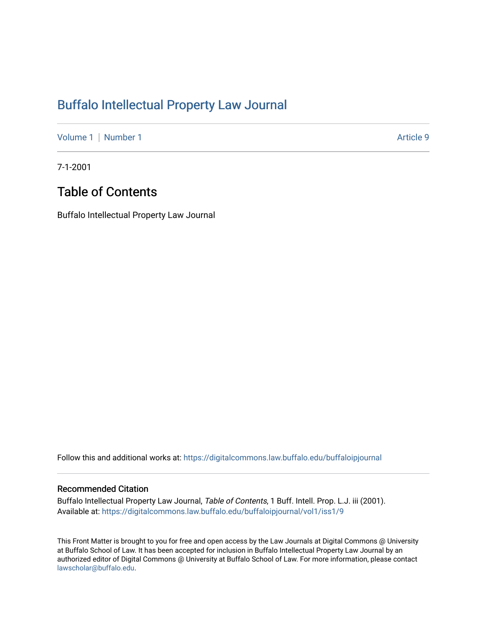### [Buffalo Intellectual Property Law Journal](https://digitalcommons.law.buffalo.edu/buffaloipjournal)

[Volume 1](https://digitalcommons.law.buffalo.edu/buffaloipjournal/vol1) | [Number 1](https://digitalcommons.law.buffalo.edu/buffaloipjournal/vol1/iss1) Article 9

7-1-2001

## Table of Contents

Buffalo Intellectual Property Law Journal

Follow this and additional works at: [https://digitalcommons.law.buffalo.edu/buffaloipjournal](https://digitalcommons.law.buffalo.edu/buffaloipjournal?utm_source=digitalcommons.law.buffalo.edu%2Fbuffaloipjournal%2Fvol1%2Fiss1%2F9&utm_medium=PDF&utm_campaign=PDFCoverPages)

#### Recommended Citation

Buffalo Intellectual Property Law Journal, Table of Contents, 1 Buff. Intell. Prop. L.J. iii (2001). Available at: [https://digitalcommons.law.buffalo.edu/buffaloipjournal/vol1/iss1/9](https://digitalcommons.law.buffalo.edu/buffaloipjournal/vol1/iss1/9?utm_source=digitalcommons.law.buffalo.edu%2Fbuffaloipjournal%2Fvol1%2Fiss1%2F9&utm_medium=PDF&utm_campaign=PDFCoverPages)

This Front Matter is brought to you for free and open access by the Law Journals at Digital Commons @ University at Buffalo School of Law. It has been accepted for inclusion in Buffalo Intellectual Property Law Journal by an authorized editor of Digital Commons @ University at Buffalo School of Law. For more information, please contact [lawscholar@buffalo.edu](mailto:lawscholar@buffalo.edu).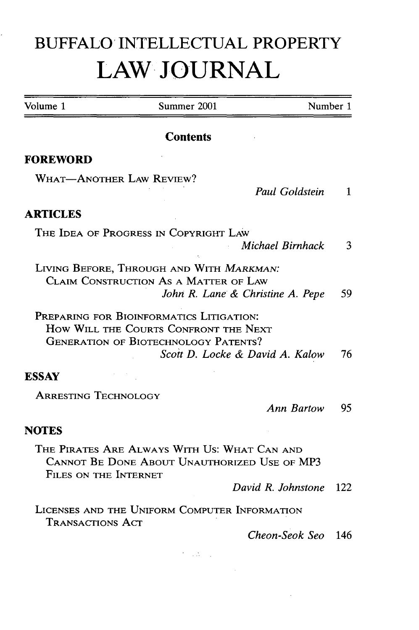# **BUFFALO INTELLECTUAL** PROPERTY **LAW, JOURNAL**

| Volume 1                    | Summer 2001                                                                                                                                                         | Number 1     |  |
|-----------------------------|---------------------------------------------------------------------------------------------------------------------------------------------------------------------|--------------|--|
|                             | <b>Contents</b>                                                                                                                                                     |              |  |
| <b>FOREWORD</b>             |                                                                                                                                                                     |              |  |
|                             | <b>WHAT-ANOTHER LAW REVIEW?</b><br>Paul Goldstein                                                                                                                   | $\mathbf{1}$ |  |
| <b>ARTICLES</b>             |                                                                                                                                                                     |              |  |
|                             | THE IDEA OF PROGRESS IN COPYRIGHT LAW<br>Michael Birnhack                                                                                                           | 3            |  |
|                             | LIVING BEFORE, THROUGH AND WITH MARKMAN:<br>CLAIM CONSTRUCTION AS A MATTER OF LAW<br>John R. Lane & Christine A. Pepe                                               | 59           |  |
|                             | PREPARING FOR BIOINFORMATICS LITIGATION:<br>HOW WILL THE COURTS CONFRONT THE NEXT<br><b>GENERATION OF BIOTECHNOLOGY PATENTS?</b><br>Scott D. Locke & David A. Kalow | 76           |  |
| <b>ESSAY</b>                |                                                                                                                                                                     |              |  |
| <b>ARRESTING TECHNOLOGY</b> | <b>Ann Bartow</b>                                                                                                                                                   | 95           |  |
| <b>NOTES</b>                |                                                                                                                                                                     |              |  |
| FILES ON THE INTERNET       | THE PIRATES ARE ALWAYS WITH US: WHAT CAN AND<br>CANNOT BE DONE ABOUT UNAUTHORIZED USE OF MP3                                                                        |              |  |
|                             | David R. Johnstone                                                                                                                                                  | 122          |  |
| <b>TRANSACTIONS ACT</b>     | LICENSES AND THE UNIFORM COMPUTER INFORMATION                                                                                                                       |              |  |
|                             | Cheon-Seok Seo                                                                                                                                                      | 146          |  |
|                             | уĄ.                                                                                                                                                                 |              |  |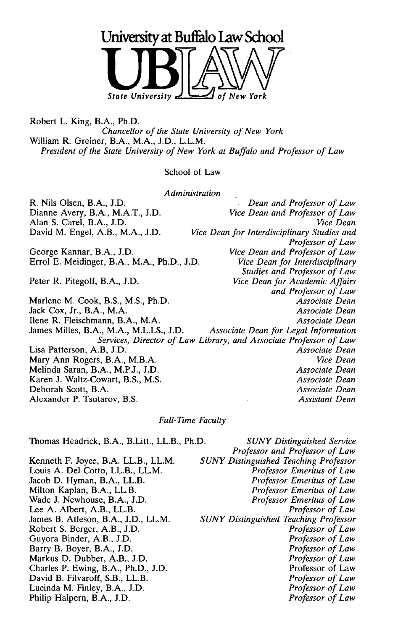

Robert L. King, B.A., Ph.D. *Chancellor of the State University of New York* William R. Greiner, B.A., M.A., J.D., L.L.M. *President of the State University of New York at Buffalo and Professor of Law*

#### School of Law

*Administration*

R. Nils Olsen, B.A., J.D. *Dean and Professor of Law* Dianne Avery, B.A., M.A.T., J.D. *Vice Dean and Professor of Law* Alan S. Carel, B.A., J.D. David M. Engel, A.B., M.A., J.D. *Vice Dean for Interdisciplinary Studies and Professor of Law* George Kannar, B.A., J.D.<br>
Errol E. Meidinger, B.A., M.A., Ph.D., J.D. *Vice Dean for Interdisciplinary* Errol E. Meidinger, B.A., M.A., Ph.D., J.D. *Studies and Professor of Law* Peter R. Pitegoff, B.A., J.D. *Vice Dean for Academic Affairs and Professor of Law* Marlene M. Cook, B.S., M.S., Ph.D. *Associate Dean* Jack Cox, Jr., B.A., M.A. *Associate Dean* Ilene R. Fleischmann, B.A., M.A. *Associate Dean* James Milles, B.A., M.A., M.L.I.S., J.D. *Associate Dean for Legal Information Services, Director of Law Library, and Associate Professor of Law* Lisa Patterson, A.B, J.D. Mary Ann Rogers, B.A., M.B.A. *Vice Dean* Melinda Saran, B.A., M.P.J., J.D. *Associate Dean* Karen J. Waltz-Cowart, B.S., M.S. *Associate Dean* Deborah Scott, B.A. *Associate Dean* Alexander P. Tsutarov, B.S. *Assistant Dean*

#### *Full-Time Faculty*

Thomas Headrick, B.A., B.Litt., LL.B., Ph.D.

Kenneth F. Joyce, B.A. LL.B., LL.M. Louis A. Del Cotto, LL.B., LL.M. Jacob D. Hyman, B.A., LL.B. Milton Kaplan, B.A., LL.B. Wade J. Newhouse, B.A., J.D. Lee A. Albert, A.B., LL.B. James B. Atleson, B.A., J.D., LL.M. Robert S. Berger, A.B., J.D. Guyora Binder, A.B., J.D. Barry B. Boyer, B.A., J.D. Markus D. Dubber, A.B., J.D. Charles P. Ewing, B.A., Ph.D., J.D. David B. Filvaroff, S.B., LL.B. Lucinda M. Finley, B.A., J.D. Philip Halpern, B.A., J.D.

**SUNY Distinguished Service** *Professor and Professor of Law SUNY Distinguished Teaching Professor Professor Emeritus of Law Professor Emeritus of Law Professor Emeritus of Law Professor Emeritus of Law Professor of Law SUNY Distinguished Teaching Professor Professor of Law Professor of Law Professor of Law Professor of Law* Professor of Law *Professor of Law Professor of Law Professor of Law*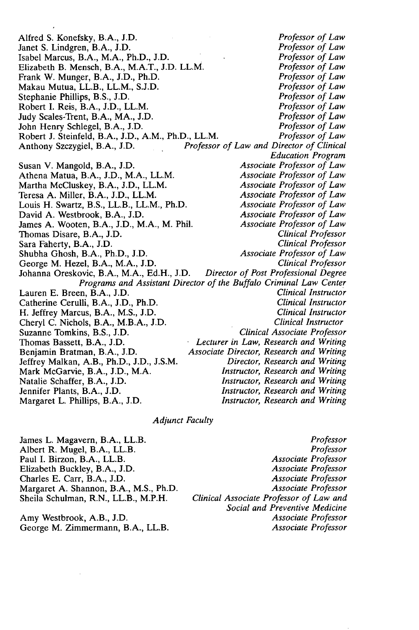Alfred S. Konefsky, B.A., J.D. *Professor of Law* Janet S. Lindgren, B.A., J.D. *Professor of Law* Isabel Marcus, B.A., M.A., Ph.D., J.D. *Professor of Law* Elizabeth B. Mensch, B.A., M.A.T., J.D. LL.M. *Professor of Law*<br>Frank W. Munger, B.A., J.D., Ph.D. *Professor of Law* Frank W. Munger, B.A., J.D., Ph.D. *Professor of Law* Makau Mutua, LL.B., LL.M., S.J.D. *Professor of Law* Stephanie Phillips, B.S., J.D.<br>
Robert I. Reis, B.A., J.D., LL.M.<br> *Professor of Law*<br> *Professor of Law* Robert I. Reis, B.A., J.D., LL.M. *Professor of Law* Judy Scales-Trent, B.A., MA., J.D. *Professor of Law* John Henry Schlegel, B.A., J.D. *Professor of Law* Robert J. Steinfeld, B.A., J.D., A.M., Ph.D., LL.M. *Anthony Szczygiel, B.A., J.D. Professor* Professor of Law and Director of Clinical *Education Program* Susan V. Mangold, B.A., J.D. *Associate Professor of Law* Athena Matua, B.A., J.D., M.A., LL.M. *Associate Professor of Law* Martha McCluskey, B.A., J.D., LL.M. *Associate Professor of Law* Teresa A. Miller, B.A., J.D., LL.M. *Associate Professor of Law* Louis H. Swartz, B.S., LL.B., LL.M., Ph.D. *Associate Professor of Law* David A. Westbrook, B.A., J.D. *Associate Professor of Law* James A. Wooten, B.A., J.D., M.A., M. Phil. *Associate Professor of Law* James A. Wooten, B.A., J.D., M.A., M. Phil. Thomas Disare, B.A., J.D. *Clinical Professor* Sara Faherty, B.A., J.D. *Clinical Professor* Shubha Ghosh, B.A., Ph.D., J.D. *Associate Professor of Law* George M. Hezel, B.A., M.A., J.D. *Clinical Professor* Johanna Oreskovic, B.A., M.A., Ed.H., J.D. *Programs and Assistant Director of the Buffalo Criminal Law Center* Lauren E. Breen, B.A., J.D. *Clinical Instructor* Catherine Cerulli, B.A., J.D., Ph.D. *Clinical Instructor* H. Jeffrey Marcus, B.A., M.S., J.D. Cheryl C. Nichols, B.A., M.B.A., J.D. *Clinical Instructor* Suzanne Tomkins, B.S., J.D. *Thomas Bassett, B.A., J.D.* Thomas Bassett, B.A., J.D. *Lecturer in Law, Research and Writing* Associate Director, Research and Writing<br>Director, Research and Writing Jeffrey Malkan, A.B., Ph.D., J.D., J.S.M. *Director, Research and Writing* Mark McGarvie, B.A., J.D., M.A. *Instructor, Research and Writing* Natalie Schaffer, B.A., J.D. *Instructor, Research and Writing* Instructor, Research and Writing<br>Instructor, Research and Writing Margaret L. Phillips, B.A., J.D.

#### *Adjunct Faculty*

Paul I. Birzon, B.A., LL.B. Charles E. Carr, B.A., J.D.

Amy Westbrook, A.B., J.D.

James L. Magavern, B.A., LL.B. *Professor* Albert R. Mugel, B.A., LL.B. *Professor* Elizabeth Buckley, B.A., J.D. *Associate Professor* Margaret A. Shannon, B.A., M.S., Ph.D. *Associate Professor* Sheila Schulman, R.N., LL.B., M.P.H. *Clinical Associate Professor of Law and Social and Preventive Medicine* George M. Zimmermann, B.A., LL.B. *Associate Professor*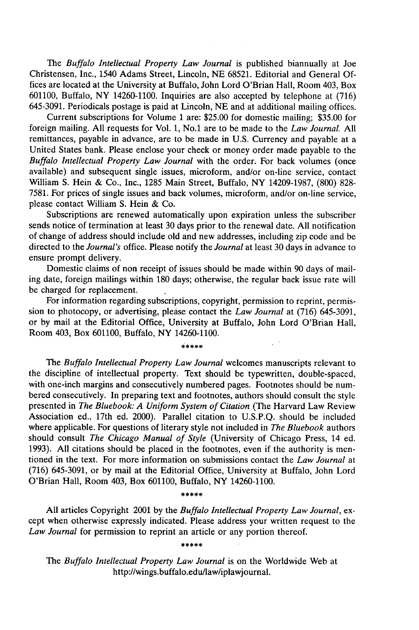The *Buffalo Intellectual Property Law Journal* is published biannually at Joe Christensen, Inc., 1540 Adams Street, Lincoln, NE 68521. Editorial and General Offices are located at the University at Buffalo, John Lord O'Brian Hall, Room 403, Box 601100, Buffalo, NY 14260-1100. Inquiries are also accepted by telephone at (716) 645-3091. Periodicals postage is paid at Lincoln, NE and at additional mailing offices.

Current subscriptions for Volume 1 are: \$25.00 for domestic mailing; \$35.00 for foreign mailing. All requests for Vol. 1, No.1 are to be made to the *Law Journal.* All remittances, payable in advance, are to be made in U.S. Currency and payable at a United States bank. Please enclose your check or money order made payable to the *Buffalo Intellectual Property Law Journal* with the order. For back volumes (once available) and subsequent single issues, microform, and/or on-line service, contact William S. Hein & Co., Inc., 1285 Main Street, Buffalo, NY 14209-1987, (800) 828- 7581. For prices of single issues and back volumes, microform, and/or on-line service, please contact William S. Hein & Co.

Subscriptions are renewed automatically upon expiration unless the subscriber sends notice of termination at least 30 days prior to the renewal date. All notification of change of address should include old and new addresses, including zip code and be directed to the *Journal's* office. Please notify the *Journal* at least 30 days in advance to ensure prompt delivery.

Domestic claims of non receipt of issues should be made within 90 days of mailing date, foreign mailings within 180 days; otherwise, the regular back issue rate will be charged for replacement.

For information regarding subscriptions, copyright, permission to reprint, permission to photocopy, or advertising, please contact the *Law Journal* at (716) 645-3091, or by mail at the Editorial Office, University at Buffalo, John Lord O'Brian Hall, Room 403, Box 601100, Buffalo, NY 14260-1100.

#### \*\*\*\*\*

The *Buffalo Intellectual Property Law Journal* welcomes manuscripts relevant to the discipline of intellectual property. Text should be typewritten, double-spaced, with one-inch margins and consecutively numbered pages. Footnotes should be numbered consecutively. In preparing text and footnotes, authors should consult the style presented in *The Bluebook: A Uniform System of Citation* (The Harvard Law Review Association ed., 17th ed. 2000). Parallel citation to U.S.P.Q. should be included where applicable. For questions of literary style not included in *The Bluebook* authors should consult *The Chicago Manual of Style* (University of Chicago Press, 14 ed. 1993). All citations should be placed in the footnotes, even if the authority is mentioned in the text. For more information on submissions contact the *Law Journal* at (716) 645-3091, or by mail at the Editorial Office, University at Buffalo, John Lord O'Brian Hall, Room 403, Box 601100, Buffalo, NY 14260-1100.

#### \*\*\*\*\*

All articles Copyright 2001 by the *Buffalo Intellectual Property Law Journal,* except when otherwise expressly indicated. Please address your written request to the *Law Journal* for permission to reprint an article or any portion thereof.

The *Buffalo Intellectual Property Law Journal* is on the Worldwide Web at http://wings.buffalo.edu/law/iplawjournal.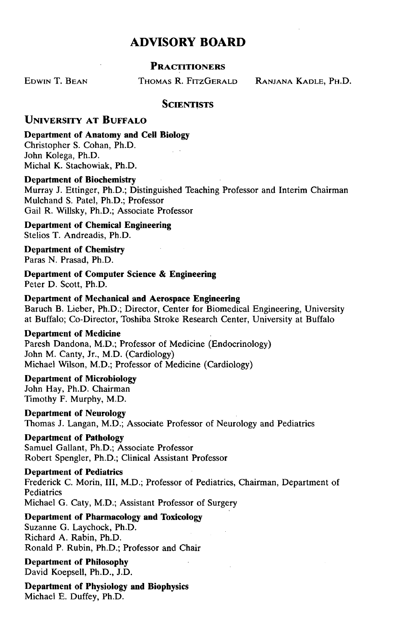### **ADVISORY BOARD**

#### **PRACTITIONERS**

EDWIN T. BEAN THOMAS R. FITZGERALD RANJANA KADLE, PH.D.

#### **SCIENTISTS**

#### **UNIVERSITY AT BUFFALO**

**Department of Anatomy and Cell Biology** Christopher **S.** Cohan, Ph.D. John Kolega, Ph.D. Michal K. Stachowiak, Ph.D.

#### **Department of Biochemistry**

Murray **J.** Ettinger, Ph.D.; Distinguished Teaching Professor and Interim Chairman Mulchand **S.** Patel, Ph.D.; Professor Gail R. Willsky, Ph.D.; Associate Professor

**Department of Chemical Engineering** Stelios T. Andreadis, Ph.D.

**Department of Chemistry** Paras **N.** Prasad, Ph.D.

**Department of Computer Science & Engineering** Peter **D.** Scott, Ph.D.

#### **Department of Mechanical and Aerospace Engineering**

Baruch B. Lieber, Ph.D.; Director, Center for Biomedical Engineering, University at Buffalo; Co-Director, Toshiba Stroke Research Center, University at Buffalo

#### **Department of Medicine**

Paresh Dandona, M.D.; Professor of Medicine (Endocrinology) John M. Canty, Jr., M.D. (Cardiology) Michael Wilson, M.D.; Professor of Medicine (Cardiology)

#### **Department of Microbiology** John Hay, Ph.D. Chairman Timothy F. Murphy, M.D.

**Department of Neurology** Thomas **J.** Langan, M.D.; Associate Professor of Neurology and Pediatrics

**Department of Pathology**

Samuel Gallant, Ph.D.; Associate Professor Robert Spengler, Ph.D.; Clinical Assistant Professor

**Department of Pediatrics** Frederick **C.** Morin, **1II,** M.D.; Professor of Pediatrics, Chairman, Department of **Pediatrics** Michael **G.** Caty, M.D.; Assistant Professor of Surgery

**Department of Pharmacology and Toxicology** Suzanne **G.** Laychock, Ph.D. Richard **A.** Rabin, Ph.D. Ronald P. Rubin, Ph.D.; Professor and Chair

**Department of Philosophy** David Koepsell, Ph.D., **J.D.**

**Department of Physiology and Biophysics** Michael E. Duffey, Ph.D.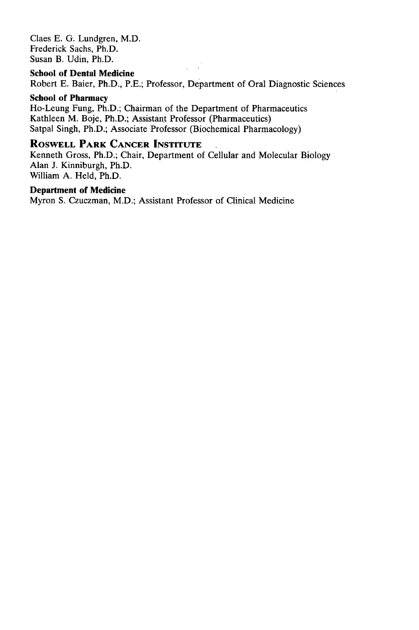Claes E. G. Lundgren, M.D. Frederick Sachs, Ph.D. Susan B. Udin, Ph.D.

#### **School of Dental Medicine**

Robert E. Baier, Ph.D., P.E.; Professor, Department of Oral Diagnostic Sciences

#### **School of Pharmacy**

Ho-Leung Fung, Ph.D.; Chairman of the Department of Pharmaceutics Kathleen M. Boje, Ph.D.; Assistant Professor (Pharmaceutics) Satpal Singh, Ph.D.; Associate Professor (Biochemical Pharmacology)

#### **ROSWELL PARK CANCER INSTITUTE**

Kenneth Gross, Ph.D.; Chair, Department of Cellular and Molecular Biology Alan J. Kinniburgh, Ph.D. William A. Held, Ph.D.

#### **Department of Medicine**

Myron S. Czuczman, M.D.; Assistant Professor of Clinical Medicine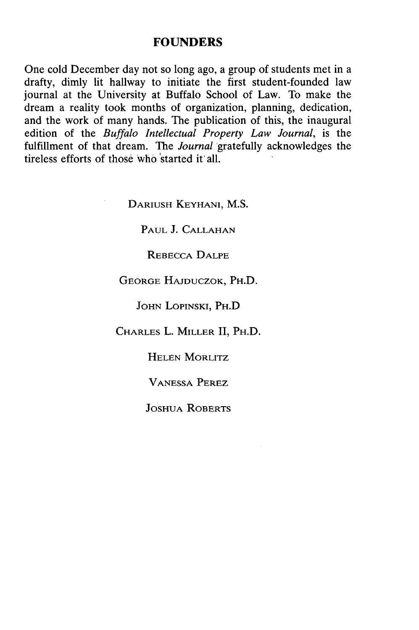#### **FOUNDERS**

One cold December day not so long ago, a group of students met in a drafty, dimly lit hallway to initiate the first student-founded law journal at the University at Buffalo School of Law. To make the dream a reality took months of organization, planning, dedication, and the work of many hands. The publication of this, the inaugural edition of the *Buffalo Intellectual Property Law Journal,* is the fulfillment of that dream. The *Journal* gratefully acknowledges the tireless efforts of those who 'started **it** all.

**DARIUSH** KEYHANI, **M.S.**

**PAUL J. CALLAHAN**

REBECCA **DALPE**

**GEORGE HAJDUCZOK,** PH.D.

**JOHN LoPINSKI,** PH.D

CHARLES L. MILLER **II,** PH.D.

**HELEN** MORLITZ

**VANESSA** PEREZ

**JOSHUA** ROBERTS